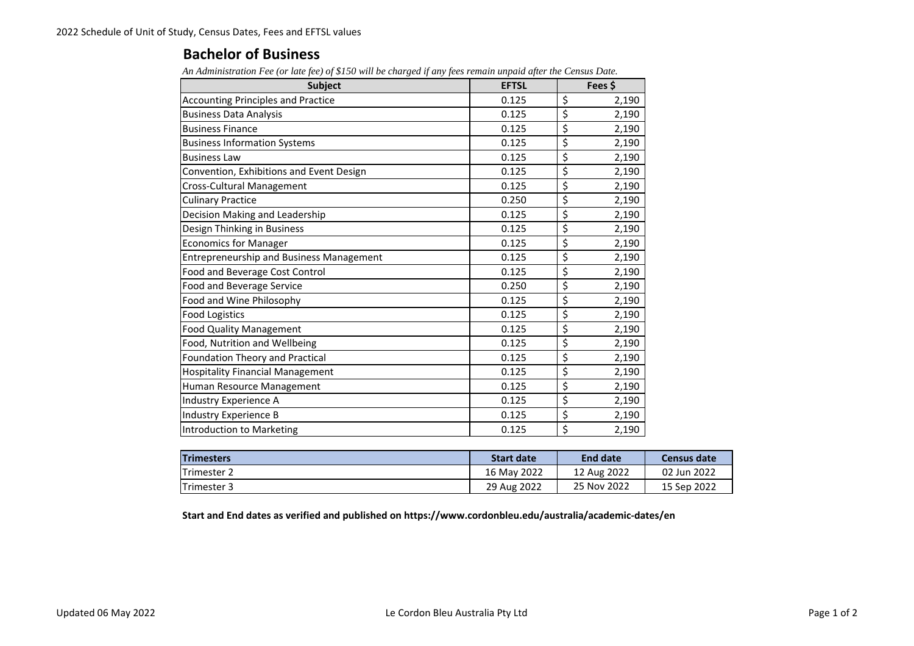## **Bachelor of Business**

*An Administration Fee (or late fee) of \$150 will be charged if any fees remain unpaid after the Census Date.*

| <b>Subject</b>                                  | <b>EFTSL</b> | Fees \$     |  |
|-------------------------------------------------|--------------|-------------|--|
| <b>Accounting Principles and Practice</b>       | 0.125        | \$<br>2,190 |  |
| <b>Business Data Analysis</b>                   | 0.125        | \$<br>2,190 |  |
| <b>Business Finance</b>                         | 0.125        | \$<br>2,190 |  |
| <b>Business Information Systems</b>             | 0.125        | \$<br>2,190 |  |
| <b>Business Law</b>                             | 0.125        | \$<br>2,190 |  |
| Convention, Exhibitions and Event Design        | 0.125        | \$<br>2,190 |  |
| Cross-Cultural Management                       | 0.125        | \$<br>2,190 |  |
| <b>Culinary Practice</b>                        | 0.250        | \$<br>2,190 |  |
| Decision Making and Leadership                  | 0.125        | \$<br>2,190 |  |
| Design Thinking in Business                     | 0.125        | \$<br>2,190 |  |
| <b>Economics for Manager</b>                    | 0.125        | \$<br>2,190 |  |
| <b>Entrepreneurship and Business Management</b> | 0.125        | \$<br>2,190 |  |
| Food and Beverage Cost Control                  | 0.125        | \$<br>2,190 |  |
| Food and Beverage Service                       | 0.250        | \$<br>2,190 |  |
| Food and Wine Philosophy                        | 0.125        | \$<br>2,190 |  |
| <b>Food Logistics</b>                           | 0.125        | \$<br>2,190 |  |
| <b>Food Quality Management</b>                  | 0.125        | \$<br>2,190 |  |
| Food, Nutrition and Wellbeing                   | 0.125        | \$<br>2,190 |  |
| Foundation Theory and Practical                 | 0.125        | \$<br>2,190 |  |
| <b>Hospitality Financial Management</b>         | 0.125        | \$<br>2,190 |  |
| Human Resource Management                       | 0.125        | \$<br>2,190 |  |
| Industry Experience A                           | 0.125        | \$<br>2,190 |  |
| Industry Experience B                           | 0.125        | \$<br>2,190 |  |
| Introduction to Marketing                       | 0.125        | \$<br>2,190 |  |

| <b>Trimesters</b> | <b>Start date</b> | <b>End date</b> | Census date |
|-------------------|-------------------|-----------------|-------------|
| Trimester 2       | 16 May 2022       | 12 Aug 2022     | 02 Jun 2022 |
| Trimester 3       | 29 Aug 2022       | 25 Nov 2022     | 15 Sep 2022 |

**Start and End dates as verified and published on https://www.cordonbleu.edu/australia/academic‐dates/en**